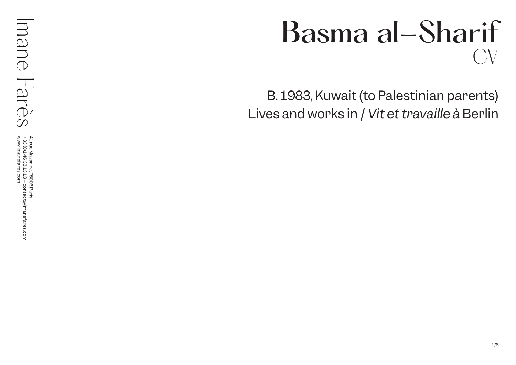# Basma al-Sharif CV

B. 1983, Kuwait (to Palestinian parents) Lives and works in / *Vit et travaille à* Berlin

41 rue Mazarine, 75006 Paris<br>+ 33 (0)146 33 13 13 – contact@imanefares.com<br>www.imanefares.com 41 rue Mazarine, 75006 Paris (0)1 46 33 13 13 – contact@imanefares.com www.imanefares.com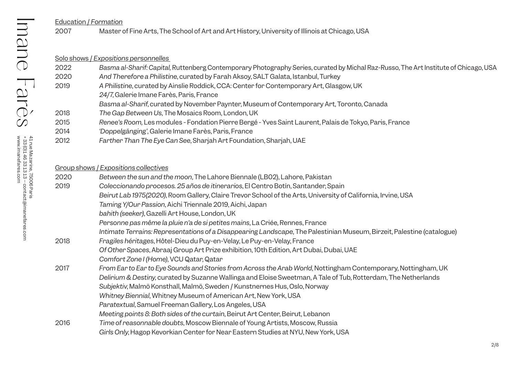Education / *Formation*

# 2007 Master of Fine Arts, The School of Art and Art History, University of Illinois at Chicago, USA

|      | Solo shows / Expositions personnelles                                                                                                |
|------|--------------------------------------------------------------------------------------------------------------------------------------|
| 2022 | Basma al-Sharif: Capital, Ruttenberg Contemporary Photography Series, curated by Michal Raz-Russo, The Art Institute of Chicago, USA |
| 2020 | And Therefore a Philistine, curated by Farah Aksoy, SALT Galata, Istanbul, Turkey                                                    |
| 2019 | A Philistine, curated by Ainslie Roddick, CCA: Center for Contemporary Art, Glasgow, UK                                              |
|      | 24/7, Galerie Imane Farès, Paris, France                                                                                             |
|      | Basma al-Sharif, curated by November Paynter, Museum of Contemporary Art, Toronto, Canada                                            |
| 2018 | The Gap Between Us, The Mosaics Room, London, UK                                                                                     |
| 2015 | Renee's Room, Les modules - Fondation Pierre Bergé - Yves Saint Laurent, Palais de Tokyo, Paris, France                              |
| 2014 | 'Doppelgänging', Galerie Imane Farès, Paris, France                                                                                  |
| 2012 | Farther Than The Eye Can See, Sharjah Art Foundation, Sharjah, UAE                                                                   |
|      |                                                                                                                                      |

| Group shows / Expositions collectives |                                                                                                                        |
|---------------------------------------|------------------------------------------------------------------------------------------------------------------------|
| 2020                                  | Between the sun and the moon, The Lahore Biennale (LBO2), Lahore, Pakistan                                             |
| 2019                                  | Coleccionando procesos. 25 años de itinerarios, El Centro Botín, Santander, Spain                                      |
|                                       | Beirut Lab 1975(2020), Room Gallery, Claire Trevor School of the Arts, University of California, Irvine, USA           |
|                                       | Taming Y/Our Passion, Aichi Triennale 2019, Aichi, Japan                                                               |
|                                       | bahith (seeker), Gazelli Art House, London, UK                                                                         |
|                                       | Personne pas même la pluie n'a de si petites mains, La Criée, Rennes, France                                           |
|                                       | Intimate Terrains: Representations of a Disappearing Landscape, The Palestinian Museum, Birzeit, Palestine (catalogue) |
| 2018                                  | Fragiles héritages, Hôtel-Dieu du Puy-en-Velay, Le Puy-en-Velay, France                                                |
|                                       | Of Other Spaces, Abraaj Group Art Prize exhibition, 10th Edition, Art Dubai, Dubai, UAE                                |
|                                       | Comfort Zone I (Home), VCU Qatar, Qatar                                                                                |
| 2017                                  | From Ear to Ear to Eye Sounds and Stories from Across the Arab World, Nottingham Contemporary, Nottingham, UK          |
|                                       | Delirium & Destiny, curated by Suzanne Wallinga and Eloise Sweetman, A Tale of Tub, Rotterdam, The Netherlands         |
|                                       | Subjektiv, Malmö Konsthall, Malmö, Sweden / Kunstnernes Hus, Oslo, Norway                                              |
|                                       | Whitney Biennial, Whitney Museum of American Art, New York, USA                                                        |
|                                       | Paratextual, Samuel Freeman Gallery, Los Angeles, USA                                                                  |
|                                       | Meeting points 8: Both sides of the curtain, Beirut Art Center, Beirut, Lebanon                                        |
| 2016                                  | Time of reasonnable doubts, Moscow Biennale of Young Artists, Moscow, Russia                                           |
|                                       | Girls Only, Hagop Kevorkian Center for Near Eastern Studies at NYU, New York, USA                                      |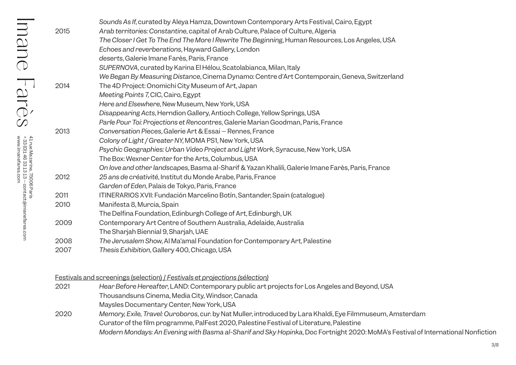| 2015 | Sounds As If, curated by Aleya Hamza, Downtown Contemporary Arts Festival, Cairo, Egypt<br>Arab territories: Constantine, capital of Arab Culture, Palace of Culture, Algeria |
|------|-------------------------------------------------------------------------------------------------------------------------------------------------------------------------------|
|      | The Closer I Get To The End The More I Rewrite The Beginning, Human Resources, Los Angeles, USA                                                                               |
|      | Echoes and reverberations, Hayward Gallery, London<br>deserts, Galerie Imane Farès, Paris, France                                                                             |
|      | SUPERNOVA, curated by Karina El Hélou, Scatolabianca, Milan, Italy                                                                                                            |
|      | We Began By Measuring Distance, Cinema Dynamo: Centre d'Art Contemporain, Geneva, Switzerland                                                                                 |
| 2014 | The 4D Project: Onomichi City Museum of Art, Japan                                                                                                                            |
|      | Meeting Points 7, CIC, Cairo, Egypt                                                                                                                                           |
|      | Here and Elsewhere, New Museum, New York, USA                                                                                                                                 |
|      | Disappearing Acts, Herndion Gallery, Antioch College, Yellow Springs, USA                                                                                                     |
|      | Parle Pour Toi: Projections et Rencontres, Galerie Marian Goodman, Paris, France                                                                                              |
| 2013 | Conversation Pieces, Galerie Art & Essai - Rennes, France                                                                                                                     |
|      | Colony of Light / Greater NY, MOMA PS1, New York, USA                                                                                                                         |
|      | Psychic Geographies: Urban Video Project and Light Work, Syracuse, New York, USA                                                                                              |
|      | The Box: Wexner Center for the Arts, Columbus, USA                                                                                                                            |
|      | On love and other landscapes, Basma al-Sharif & Yazan Khalili, Galerie Imane Farès, Paris, France                                                                             |
| 2012 | 25 ans de créativité, Institut du Monde Arabe, Paris, France                                                                                                                  |
|      | Garden of Eden, Palais de Tokyo, Paris, France                                                                                                                                |
| 2011 | ITINERARIOS XVII: Fundación Marcelino Botín, Santander, Spain (catalogue)                                                                                                     |
| 2010 | Manifesta 8, Murcia, Spain                                                                                                                                                    |
|      | The Delfina Foundation, Edinburgh College of Art, Edinburgh, UK                                                                                                               |
| 2009 | Contemporary Art Centre of Southern Australia, Adelaide, Australia                                                                                                            |
|      | The Sharjah Biennial 9, Sharjah, UAE                                                                                                                                          |
| 2008 | The Jerusalem Show, Al Ma'amal Foundation for Contemporary Art, Palestine                                                                                                     |
| 2007 | Thesis Exhibition, Gallery 400, Chicago, USA                                                                                                                                  |

Festivals and screenings (selection) / *Festivals et projections (sélection)*

| 2021 | Hear Before Hereafter, LAND: Contemporary public art projects for Los Angeles and Beyond, USA                                    |
|------|----------------------------------------------------------------------------------------------------------------------------------|
|      | Thousandsuns Cinema, Media City, Windsor, Canada                                                                                 |
|      | Maysles Documentary Center, New York, USA                                                                                        |
| 2020 | Memory, Exile, Travel: Ouroboros, cur. by Nat Muller, introduced by Lara Khaldi, Eye Filmmuseum, Amsterdam                       |
|      | Curator of the film programme, PalFest 2020, Palestine Festival of Literature, Palestine                                         |
|      | Modern Mondays: An Evening with Basma al-Sharif and Sky Hopinka, Doc Fortnight 2020: MoMA's Festival of International Nonfiction |

41 rue Mazarine, 75006 Paris<br>+ 33 (0)1 46 33 13 13 – contact@imanefares.com<br>www.imanefares.com 41 rue Mazarine, 75006 Paris (0)1 46 33 13 13 – contact@imanefares.com www.imanefares.com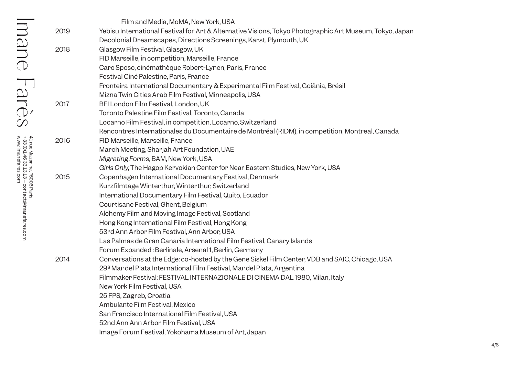|      | Film and Media, MoMA, New York, USA                                                                      |
|------|----------------------------------------------------------------------------------------------------------|
| 2019 | Yebisu International Festival for Art & Alternative Visions, Tokyo Photographic Art Museum, Tokyo, Japan |
|      | Decolonial Dreamscapes, Directions Screenings, Karst, Plymouth, UK                                       |
| 2018 | Glasgow Film Festival, Glasgow, UK                                                                       |
|      | FID Marseille, in competition, Marseille, France                                                         |
|      | Caro Sposo, cinémathèque Robert-Lynen, Paris, France                                                     |
|      | Festival Ciné Palestine, Paris, France                                                                   |
|      | Fronteira International Documentary & Experimental Film Festival, Goiânia, Brésil                        |
|      | Mizna Twin Cities Arab Film Festival, Minneapolis, USA                                                   |
| 2017 | BFI London Film Festival, London, UK                                                                     |
|      | Toronto Palestine Film Festival, Toronto, Canada                                                         |
|      | Locarno Film Festival, in competition, Locarno, Switzerland                                              |
|      | Rencontres Internationales du Documentaire de Montréal (RIDM), in competition, Montreal, Canada          |
| 2016 | FID Marseille, Marseille, France                                                                         |
|      | March Meeting, Sharjah Art Foundation, UAE                                                               |
|      | Migrating Forms, BAM, New York, USA                                                                      |
|      | Girls Only, The Hagop Kervokian Center for Near Eastern Studies, New York, USA                           |
| 2015 | Copenhagen International Documentary Festival, Denmark                                                   |
|      | Kurzfilmtage Winterthur, Winterthur, Switzerland                                                         |
|      | International Documentary Film Festival, Quito, Ecuador                                                  |
|      | Courtisane Festival, Ghent, Belgium                                                                      |
|      | Alchemy Film and Moving Image Festival, Scotland                                                         |
|      | Hong Kong International Film Festival, Hong Kong                                                         |
|      | 53rd Ann Arbor Film Festival, Ann Arbor, USA                                                             |
|      | Las Palmas de Gran Canaria International Film Festival, Canary Islands                                   |
|      | Forum Expanded: Berlinale, Arsenal 1, Berlin, Germany                                                    |
| 2014 | Conversations at the Edge: co-hosted by the Gene Siskel Film Center, VDB and SAIC, Chicago, USA          |
|      | 29º Mar del Plata International Film Festival, Mar del Plata, Argentina                                  |
|      | Filmmaker Festival: FESTIVAL INTERNAZIONALE DI CINEMA DAL 1980, Milan, Italy                             |
|      | New York Film Festival, USA                                                                              |
|      | 25 FPS, Zagreb, Croatia                                                                                  |
|      | Ambulante Film Festival, Mexico                                                                          |
|      | San Francisco International Film Festival, USA                                                           |
|      | 52nd Ann Ann Arbor Film Festival, USA                                                                    |
|      | Image Forum Festival, Yokohama Museum of Art, Japan                                                      |

# Imane Farès  $\operatorname{Ind}_{\operatorname{Superspace}}(S) \cong \operatorname{Ind}_{\operatorname{Superspace}}(S) \cong \operatorname{Ind}_{\operatorname{Superspace}}(S) \cong \operatorname{Ind}_{\operatorname{Superspace}}(S) \cong \operatorname{Ind}_{\operatorname{Superspace}}(S) \cong \operatorname{Ind}_{\operatorname{Superspace}}(S) \cong \operatorname{Ind}_{\operatorname{Superspace}}(S) \cong \operatorname{Ind}_{\operatorname{Superspace}}(S) \cong \operatorname{Ind}_{\operatorname{Superspace}}(S) \cong \operatorname{Ind}_{\operatorname{Superspace}}(S) \cong \operatorname{Ind}_{\operatorname{Superspace}}(S) \cong$

41 rue Mazarine, 75006 Paris (0)1 46 33 13 13 – contact@imanefares.com www.imanefares.com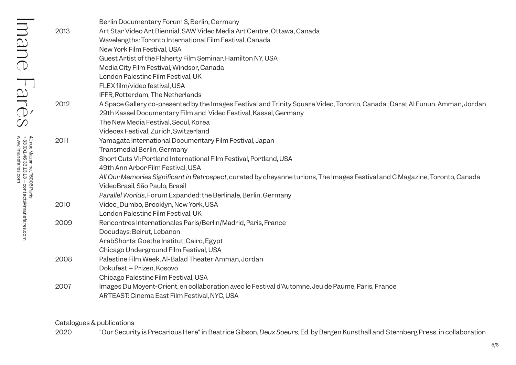| 2013 | Berlin Documentary Forum 3, Berlin, Germany<br>Art Star Video Art Biennial, SAW Video Media Art Centre, Ottawa, Canada<br>Wavelengths: Toronto International Film Festival, Canada<br>New York Film Festival, USA<br>Guest Artist of the Flaherty Film Seminar, Hamilton NY, USA<br>Media City Film Festival, Windsor, Canada<br>London Palestine Film Festival, UK<br>FLEX film/video festival, USA<br>IFFR, Rotterdam, The Netherlands |
|------|------------------------------------------------------------------------------------------------------------------------------------------------------------------------------------------------------------------------------------------------------------------------------------------------------------------------------------------------------------------------------------------------------------------------------------------|
| 2012 | A Space Gallery co-presented by the Images Festival and Trinity Square Video, Toronto, Canada; Darat Al Funun, Amman, Jordan<br>29th Kassel Documentary Film and Video Festival, Kassel, Germany<br>The New Media Festival, Seoul, Korea<br>Videoex Festival, Zurich, Switzerland                                                                                                                                                        |
| 2011 | Yamagata International Documentary Film Festival, Japan<br>Transmedial Berlin, Germany<br>Short Cuts VI: Portland International Film Festival, Portland, USA<br>49th Ann Arbor Film Festival, USA<br>All Our Memories Significant in Retrospect, curated by cheyanne turions, The Images Festival and C Magazine, Toronto, Canada<br>VideoBrasil, São Paulo, Brasil<br>Parallel Worlds, Forum Expanded: the Berlinale, Berlin, Germany   |
| 2010 | Video_Dumbo, Brooklyn, New York, USA<br>London Palestine Film Festival, UK                                                                                                                                                                                                                                                                                                                                                               |
| 2009 | Rencontres Internationales Paris/Berlin/Madrid, Paris, France<br>Docudays: Beirut, Lebanon<br>ArabShorts: Goethe Institut, Cairo, Egypt<br>Chicago Underground Film Festival, USA                                                                                                                                                                                                                                                        |
| 2008 | Palestine Film Week, Al-Balad Theater Amman, Jordan<br>Dokufest - Prizen, Kosovo<br>Chicago Palestine Film Festival, USA                                                                                                                                                                                                                                                                                                                 |
| 2007 | Images Du Moyent-Orient, en collaboration avec le Festival d'Automne, Jeu de Paume, Paris, France<br>ARTEAST: Cinema East Film Festival, NYC, USA                                                                                                                                                                                                                                                                                        |

### Catalogues & publications

Imane Farès

Imane Farès

41 rue Mazarine, 75006 Paris<br>+ 33 (0)146 33 13 13 – contact@imanefares.com<br>www.imanefares.com

www.imanefares.com

(0)1 46 33 13 13 – contact@imanefares.com

41 rue Mazarine, 75006 Paris

2020 "Our Security is Precarious Here" in Beatrice Gibson, *Deux Soeurs*, Ed. by Bergen Kunsthall and Sternberg Press, in collaboration

5/8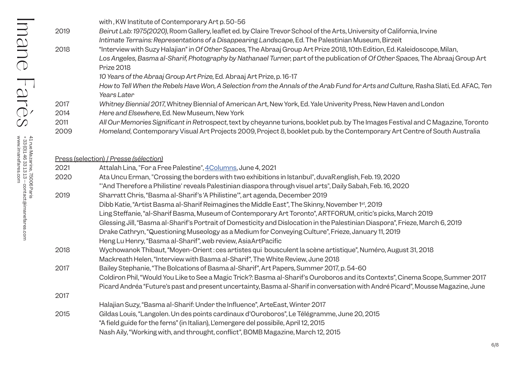| Beirut Lab: 1975(2020), Room Gallery, leaflet ed. by Claire Trevor School of the Arts, University of California, Irvine<br>2019<br>Intimate Terrains: Representations of a Disappearing Landscape, Ed. The Palestinian Museum, Birzeit<br>"Interview with Suzy Halajian" in Of Other Spaces, The Abraaj Group Art Prize 2018, 10th Edition, Ed. Kaleidoscope, Milan,<br>2018 |  |
|------------------------------------------------------------------------------------------------------------------------------------------------------------------------------------------------------------------------------------------------------------------------------------------------------------------------------------------------------------------------------|--|
|                                                                                                                                                                                                                                                                                                                                                                              |  |
|                                                                                                                                                                                                                                                                                                                                                                              |  |
|                                                                                                                                                                                                                                                                                                                                                                              |  |
| Los Angeles, Basma al-Sharif, Photography by Nathanael Turner, part of the publication of Of Other Spaces, The Abraaj Group Art                                                                                                                                                                                                                                              |  |
| <b>Prize 2018</b>                                                                                                                                                                                                                                                                                                                                                            |  |
| 10 Years of the Abraaj Group Art Prize, Ed. Abraaj Art Prize, p. 16-17                                                                                                                                                                                                                                                                                                       |  |
| How to Tell When the Rebels Have Won, A Selection from the Annals of the Arab Fund for Arts and Culture, Rasha Slati, Ed. AFAC, Ten                                                                                                                                                                                                                                          |  |
| Years Later                                                                                                                                                                                                                                                                                                                                                                  |  |
| Whitney Biennial 2017, Whitney Biennial of American Art, New York, Ed. Yale Univerity Press, New Haven and London<br>2017                                                                                                                                                                                                                                                    |  |
| Here and Elsewhere, Ed. New Museum, New York<br>2014                                                                                                                                                                                                                                                                                                                         |  |
| All Our Memories Significant in Retrospect, text by cheyanne turions, booklet pub. by The Images Festival and C Magazine, Toronto<br>2011                                                                                                                                                                                                                                    |  |
| Homeland, Contemporary Visual Art Projects 2009, Project 8, booklet pub. by the Contemporary Art Centre of South Australia<br>2009                                                                                                                                                                                                                                           |  |
|                                                                                                                                                                                                                                                                                                                                                                              |  |

# Press (selection) / *Presse (sélection)*

| 2021 | Attalah Lina, "For a Free Palestine", 4Columns, June 4, 2021                                                                    |
|------|---------------------------------------------------------------------------------------------------------------------------------|
| 2020 | Ata Uncu Erman, "Crossing the borders with two exhibitions in Istanbul", duvaR.english, Feb. 19, 2020                           |
|      | "And Therefore a Philistine' reveals Palestinian diaspora through visuel arts", Daily Sabah, Feb. 16, 2020                      |
| 2019 | Sharratt Chris, "Basma al-Sharif's 'A Philistine", art agenda, December 2019                                                    |
|      | Dibb Katie, "Artist Basma al-Sharif Reimagines the Middle East", The Skinny, November 1st, 2019                                 |
|      | Ling Steffanie, "al-Sharif Basma, Museum of Contemporary Art Toronto", ARTFORUM, critic's picks, March 2019                     |
|      | Glessing Jill, "Basma al-Sharif's Portrait of Domesticity and Dislocation in the Palestinian Diaspora", Frieze, March 6, 2019   |
|      | Drake Cathryn, "Questioning Museology as a Medium for Conveying Culture", Frieze, January 11, 2019                              |
|      | Heng Lu Henry, "Basma al-Sharif", web review, Asia ArtPacific                                                                   |
| 2018 | Wychowanok Thibaut, "Moyen-Orient: ces artistes qui bousculent la scène artistique", Numéro, August 31, 2018                    |
|      | Mackreath Helen, "Interview with Basma al-Sharif", The White Review, June 2018                                                  |
| 2017 | Bailey Stephanie, "The Bolcations of Basma al-Sharif", Art Papers, Summer 2017, p. 54-60                                        |
|      | Coldiron Phil, "Would You Like to See a Magic Trick?: Basma al-Sharif's Ouroboros and its Contexts", Cinema Scope, Summer 2017  |
|      | Picard Andréa "Future's past and present uncertainty, Basma al-Sharif in conversation with André Picard", Mousse Magazine, June |
| 2017 |                                                                                                                                 |
|      | Halajian Suzy, "Basma al-Sharif: Under the Influence", ArteEast, Winter 2017                                                    |
| 2015 | Gildas Louis, "Langolen. Un des points cardinaux d'Ouroboros", Le Télégramme, June 20, 2015                                     |
|      | "A field guide for the ferns" (in Italian), L'emergere del possibile, April 12, 2015                                            |
|      | Nash Aily, "Working with, and throught, conflict", BOMB Magazine, March 12, 2015                                                |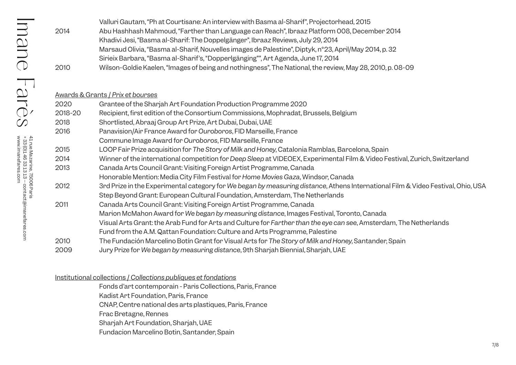|      | Valluri Gautam, "Ph at Courtisane: An interview with Basma al-Sharit", Projectorhead, 2015                |
|------|-----------------------------------------------------------------------------------------------------------|
| 2014 | Abu Hashhash Mahmoud, "Farther than Language can Reach", Ibraaz Platform 008, December 2014               |
|      | Khadivi Jesi, "Basma al-Sharif: The Doppelgänger", Ibraaz Reviews, July 29, 2014                          |
|      | Marsaud Olivia, "Basma al-Sharif, Nouvelles images de Palestine", Diptyk, n°23, April/May 2014, p. 32     |
|      | Sirieix Barbara, "Basma al-Sharif's, "Dopperlgänging"", Art Agenda, June 17, 2014                         |
| 2010 | Wilson-Goldie Kaelen, "Images of being and nothingness", The National, the review, May 28, 2010, p. 08-09 |

### Awards & Grants / *Prix et bourses*

| 2020    | Grantee of the Sharjah Art Foundation Production Programme 2020                                                                  |
|---------|----------------------------------------------------------------------------------------------------------------------------------|
| 2018-20 | Recipient, first edition of the Consortium Commissions, Mophradat, Brussels, Belgium                                             |
| 2018    | Shortlisted, Abraaj Group Art Prize, Art Dubai, Dubai, UAE                                                                       |
| 2016    | Panavision/Air France Award for Ouroboros, FID Marseille, France                                                                 |
|         | Commune Image Award for Ouroboros, FID Marseille, France                                                                         |
| 2015    | LOOP Fair Prize acquisition for The Story of Milk and Honey, Catalonia Ramblas, Barcelona, Spain                                 |
| 2014    | Winner of the international competition for Deep Sleep at VIDEOEX, Experimental Film & Video Festival, Zurich, Switzerland       |
| 2013    | Canada Arts Council Grant: Visiting Foreign Artist Programme, Canada                                                             |
|         | Honorable Mention: Media City Film Festival for Home Movies Gaza, Windsor, Canada                                                |
| 2012    | 3rd Prize in the Experimental category for We began by measuring distance, Athens International Film & Video Festival, Ohio, USA |
|         | Step Beyond Grant: European Cultural Foundation, Amsterdam, The Netherlands                                                      |
| 2011    | Canada Arts Council Grant: Visiting Foreign Artist Programme, Canada                                                             |
|         | Marion McMahon Award for We began by measuring distance, Images Festival, Toronto, Canada                                        |
|         | Visual Arts Grant: the Arab Fund for Arts and Culture for Farther than the eye can see, Amsterdam, The Netherlands               |
|         | Fund from the A.M. Qattan Foundation: Culture and Arts Programme, Palestine                                                      |
| 2010    | The Fundación Marcelino Botín Grant for Visual Arts for The Story of Milk and Honey, Santander, Spain                            |
| 2009    | Jury Prize for We began by measuring distance, 9th Sharjah Biennial, Sharjah, UAE                                                |

### Institutional collections / *Collections publiques et fondations*

Fonds d'art contemporain - Paris Collections, Paris, France

Kadist Art Foundation, Paris, France

CNAP, Centre national des arts plastiques, Paris, France

Frac Bretagne, Rennes

Sharjah Art Foundation, Sharjah, UAE

Fundacion Marcelino Botin, Santander, Spain